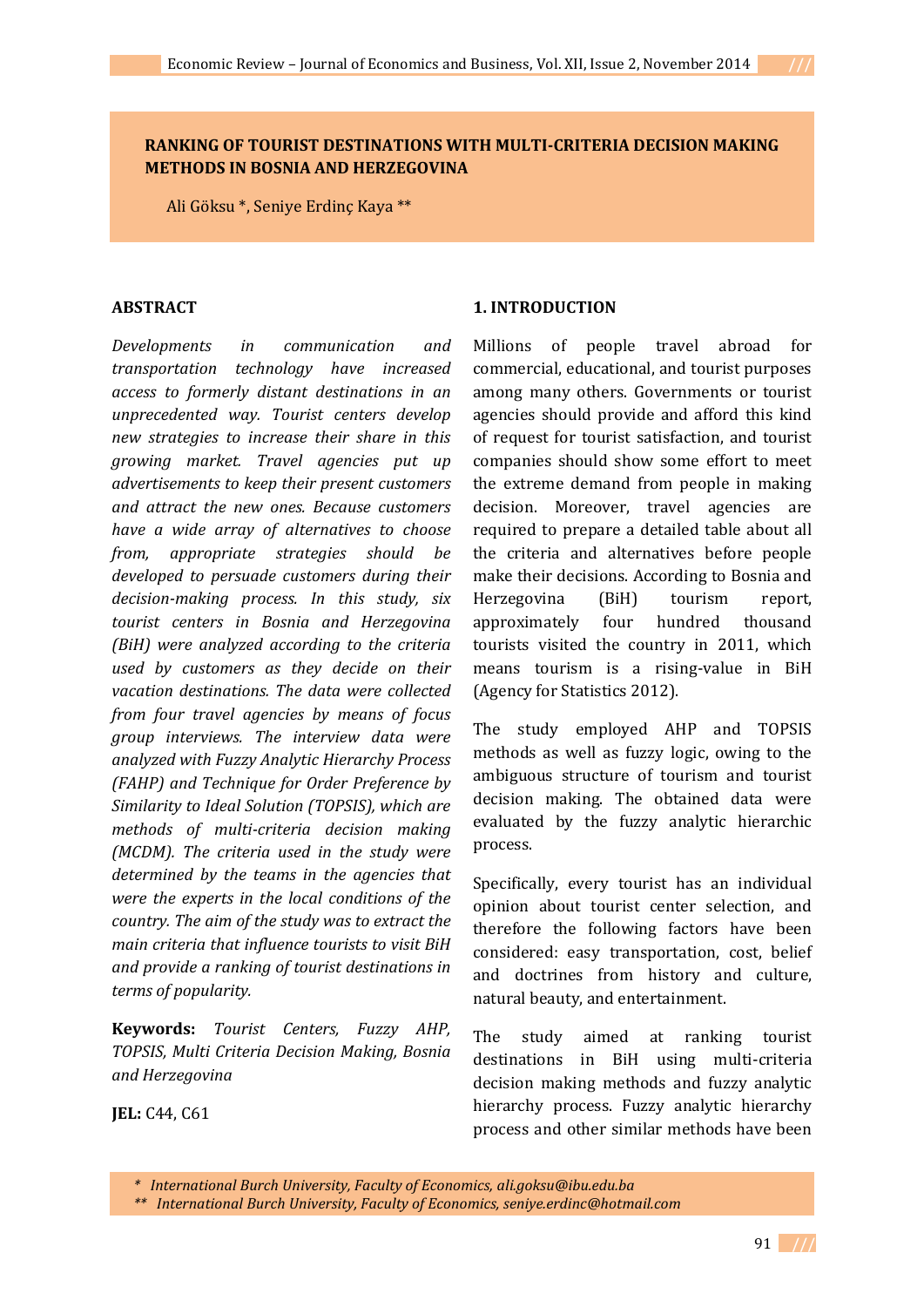## **RANKING OF TOURIST DESTINATIONS WITH MULTI-CRITERIA DECISION MAKING METHODS IN BOSNIA AND HERZEGOVINA**

Ali Göksu \*, Seniye Erdinç Kaya \*\*

### **ABSTRACT**

*Developments in communication and transportation technology have increased access to formerly distant destinations in an unprecedented way. Tourist centers develop new strategies to increase their share in this growing market. Travel agencies put up advertisements to keep their present customers and attract the new ones. Because customers have a wide array of alternatives to choose from, appropriate strategies should be developed to persuade customers during their decision-making process. In this study, six tourist centers in Bosnia and Herzegovina (BiH) were analyzed according to the criteria used by customers as they decide on their vacation destinations. The data were collected from four travel agencies by means of focus group interviews. The interview data were analyzed with Fuzzy Analytic Hierarchy Process (FAHP) and Technique for Order Preference by Similarity to Ideal Solution (TOPSIS), which are methods of multi-criteria decision making (MCDM). The criteria used in the study were determined by the teams in the agencies that were the experts in the local conditions of the country. The aim of the study was to extract the main criteria that influence tourists to visit BiH and provide a ranking of tourist destinations in terms of popularity.*

**Keywords:** *Tourist Centers, Fuzzy AHP, TOPSIS, Multi Criteria Decision Making, Bosnia and Herzegovina*

**JEL:** C44, C61

### **1. INTRODUCTION**

Millions of people travel abroad for commercial, educational, and tourist purposes among many others. Governments or tourist agencies should provide and afford this kind of request for tourist satisfaction, and tourist companies should show some effort to meet the extreme demand from people in making decision. Moreover, travel agencies are required to prepare a detailed table about all the criteria and alternatives before people make their decisions. According to Bosnia and Herzegovina (BiH) tourism report, approximately four hundred thousand tourists visited the country in 2011, which means tourism is a rising-value in BiH (Agency for Statistics 2012).

The study employed AHP and TOPSIS methods as well as fuzzy logic, owing to the ambiguous structure of tourism and tourist decision making. The obtained data were evaluated by the fuzzy analytic hierarchic process.

Specifically, every tourist has an individual opinion about tourist center selection, and therefore the following factors have been considered: easy transportation, cost, belief and doctrines from history and culture, natural beauty, and entertainment.

The study aimed at ranking tourist destinations in BiH using multi-criteria decision making methods and fuzzy analytic hierarchy process. Fuzzy analytic hierarchy process and other similar methods have been

*\* International Burch University, Faculty of Economics, ali.goksu@ibu.edu.ba* 

*\*\* International Burch University, Faculty of Economics, seniye.erdinc@hotmail.com*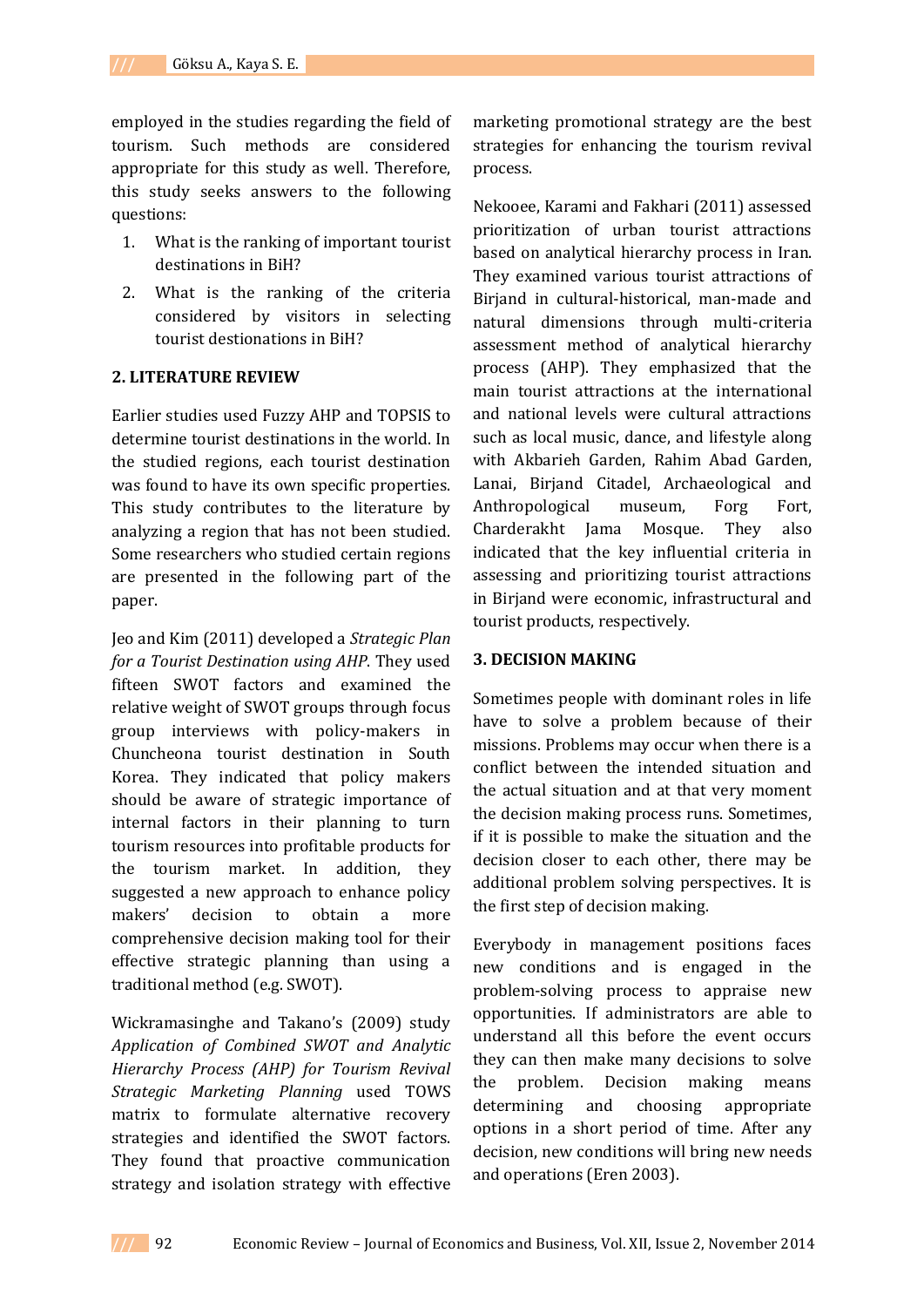employed in the studies regarding the field of tourism. Such methods are considered appropriate for this study as well. Therefore, this study seeks answers to the following questions:

- 1. What is the ranking of important tourist destinations in BiH?
- 2. What is the ranking of the criteria considered by visitors in selecting tourist destionations in BiH?

### **2. LITERATURE REVIEW**

Earlier studies used Fuzzy AHP and TOPSIS to determine tourist destinations in the world. In the studied regions, each tourist destination was found to have its own specific properties. This study contributes to the literature by analyzing a region that has not been studied. Some researchers who studied certain regions are presented in the following part of the paper.

Jeo and Kim (2011) developed a *Strategic Plan for a Tourist Destination using AHP*. They used fifteen SWOT factors and examined the relative weight of SWOT groups through focus group interviews with policy-makers in Chuncheona tourist destination in South Korea. They indicated that policy makers should be aware of strategic importance of internal factors in their planning to turn tourism resources into profitable products for the tourism market. In addition, they suggested a new approach to enhance policy makers' decision to obtain a more comprehensive decision making tool for their effective strategic planning than using a traditional method (e.g. SWOT).

Wickramasinghe and Takano's (2009) study *Application of Combined SWOT and Analytic Hierarchy Process (AHP) for Tourism Revival Strategic Marketing Planning* used TOWS matrix to formulate alternative recovery strategies and identified the SWOT factors. They found that proactive communication strategy and isolation strategy with effective

marketing promotional strategy are the best strategies for enhancing the tourism revival process.

Nekooee, Karami and Fakhari (2011) assessed prioritization of urban tourist attractions based on analytical hierarchy process in Iran. They examined various tourist attractions of Birjand in cultural-historical, man-made and natural dimensions through multi-criteria assessment method of analytical hierarchy process (AHP). They emphasized that the main tourist attractions at the international and national levels were cultural attractions such as local music, dance, and lifestyle along with Akbarieh Garden, Rahim Abad Garden, Lanai, Birjand Citadel, Archaeological and Anthropological museum, Forg Fort, Charderakht Jama Mosque. They also indicated that the key influential criteria in assessing and prioritizing tourist attractions in Birjand were economic, infrastructural and tourist products, respectively.

### **3. DECISION MAKING**

Sometimes people with dominant roles in life have to solve a problem because of their missions. Problems may occur when there is a conflict between the intended situation and the actual situation and at that very moment the decision making process runs. Sometimes, if it is possible to make the situation and the decision closer to each other, there may be additional problem solving perspectives. It is the first step of decision making.

Everybody in management positions faces new conditions and is engaged in the problem-solving process to appraise new opportunities. If administrators are able to understand all this before the event occurs they can then make many decisions to solve the problem. Decision making means determining and choosing appropriate options in a short period of time. After any decision, new conditions will bring new needs and operations (Eren 2003).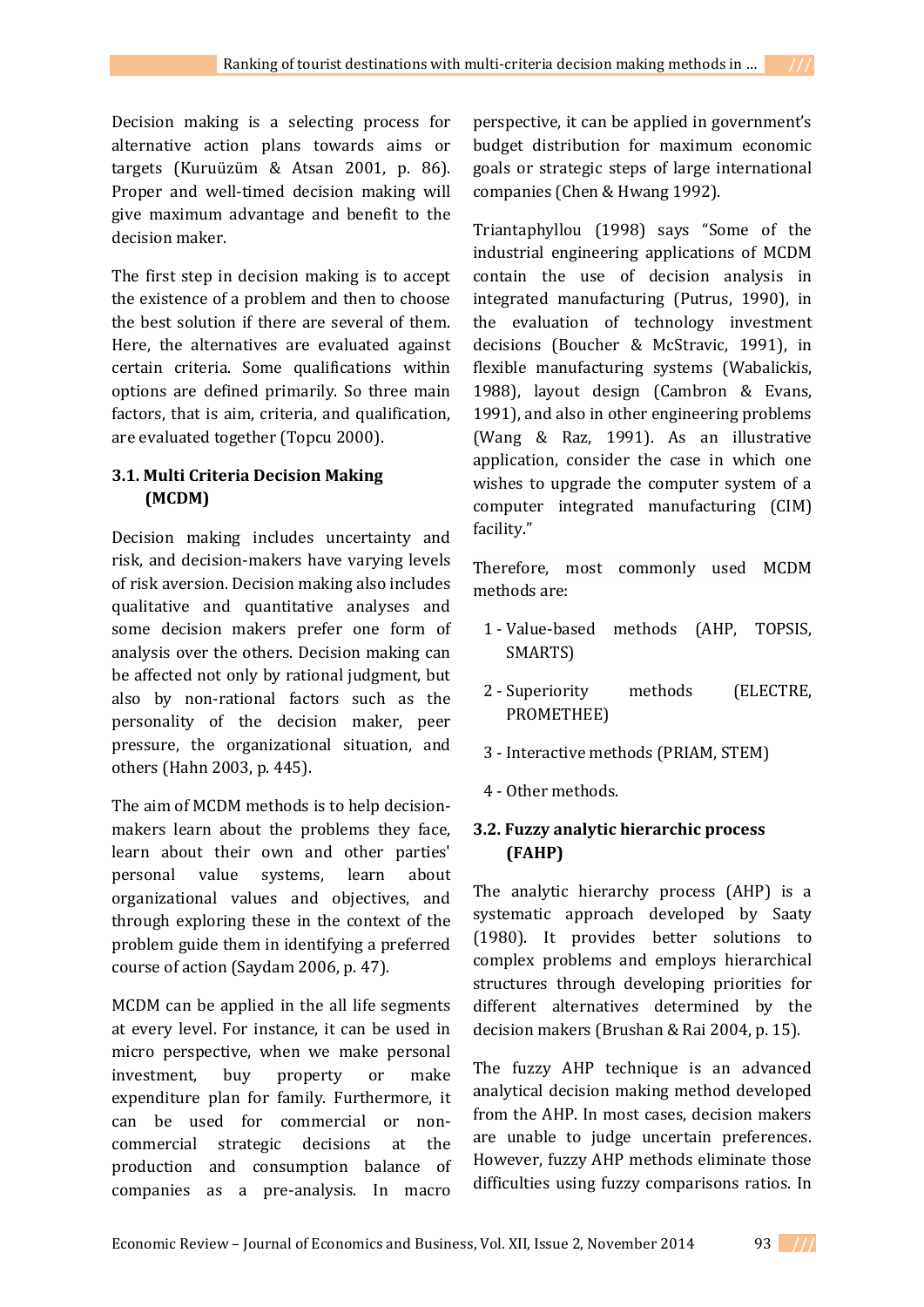Decision making is a selecting process for alternative action plans towards aims or targets (Kuruüzüm & Atsan 2001, p. 86). Proper and well-timed decision making will give maximum advantage and benefit to the decision maker.

The first step in decision making is to accept the existence of a problem and then to choose the best solution if there are several of them. Here, the alternatives are evaluated against certain criteria. Some qualifications within options are defined primarily. So three main factors, that is aim, criteria, and qualification, are evaluated together (Topcu 2000).

# **3.1. Multi Criteria Decision Making (MCDM)**

Decision making includes uncertainty and risk, and decision-makers have varying levels of risk aversion. Decision making also includes qualitative and quantitative analyses and some decision makers prefer one form of analysis over the others. Decision making can be affected not only by rational judgment, but also by non-rational factors such as the personality of the decision maker, peer pressure, the organizational situation, and others (Hahn 2003, p. 445).

The aim of MCDM methods is to help decisionmakers learn about the problems they face, learn about their own and other parties' personal value systems, learn about organizational values and objectives, and through exploring these in the context of the problem guide them in identifying a preferred course of action (Saydam 2006, p. 47).

MCDM can be applied in the all life segments at every level. For instance, it can be used in micro perspective, when we make personal investment, buy property or make expenditure plan for family. Furthermore, it can be used for commercial or noncommercial strategic decisions at the production and consumption balance of companies as a pre-analysis. In macro

perspective, it can be applied in government's budget distribution for maximum economic goals or strategic steps of large international companies (Chen & Hwang 1992).

Triantaphyllou (1998) says "Some of the industrial engineering applications of MCDM contain the use of decision analysis in integrated manufacturing (Putrus, 1990), in the evaluation of technology investment decisions (Boucher & McStravic, 1991), in flexible manufacturing systems (Wabalickis, 1988), layout design (Cambron & Evans, 1991), and also in other engineering problems (Wang & Raz, 1991). As an illustrative application, consider the case in which one wishes to upgrade the computer system of a computer integrated manufacturing (CIM) facility."

Therefore, most commonly used MCDM methods are:

- 1 Value-based methods (AHP, TOPSIS, SMARTS)
- 2 Superiority methods (ELECTRE, PROMETHEE)
- 3 Interactive methods (PRIAM, STEM)
- 4 Other methods.

# **3.2. Fuzzy analytic hierarchic process (FAHP)**

The analytic hierarchy process (AHP) is a systematic approach developed by Saaty (1980). It provides better solutions to complex problems and employs hierarchical structures through developing priorities for different alternatives determined by the decision makers (Brushan & Rai 2004, p. 15).

The fuzzy AHP technique is an advanced analytical decision making method developed from the AHP. In most cases, decision makers are unable to judge uncertain preferences. However, fuzzy AHP methods eliminate those difficulties using fuzzy comparisons ratios. In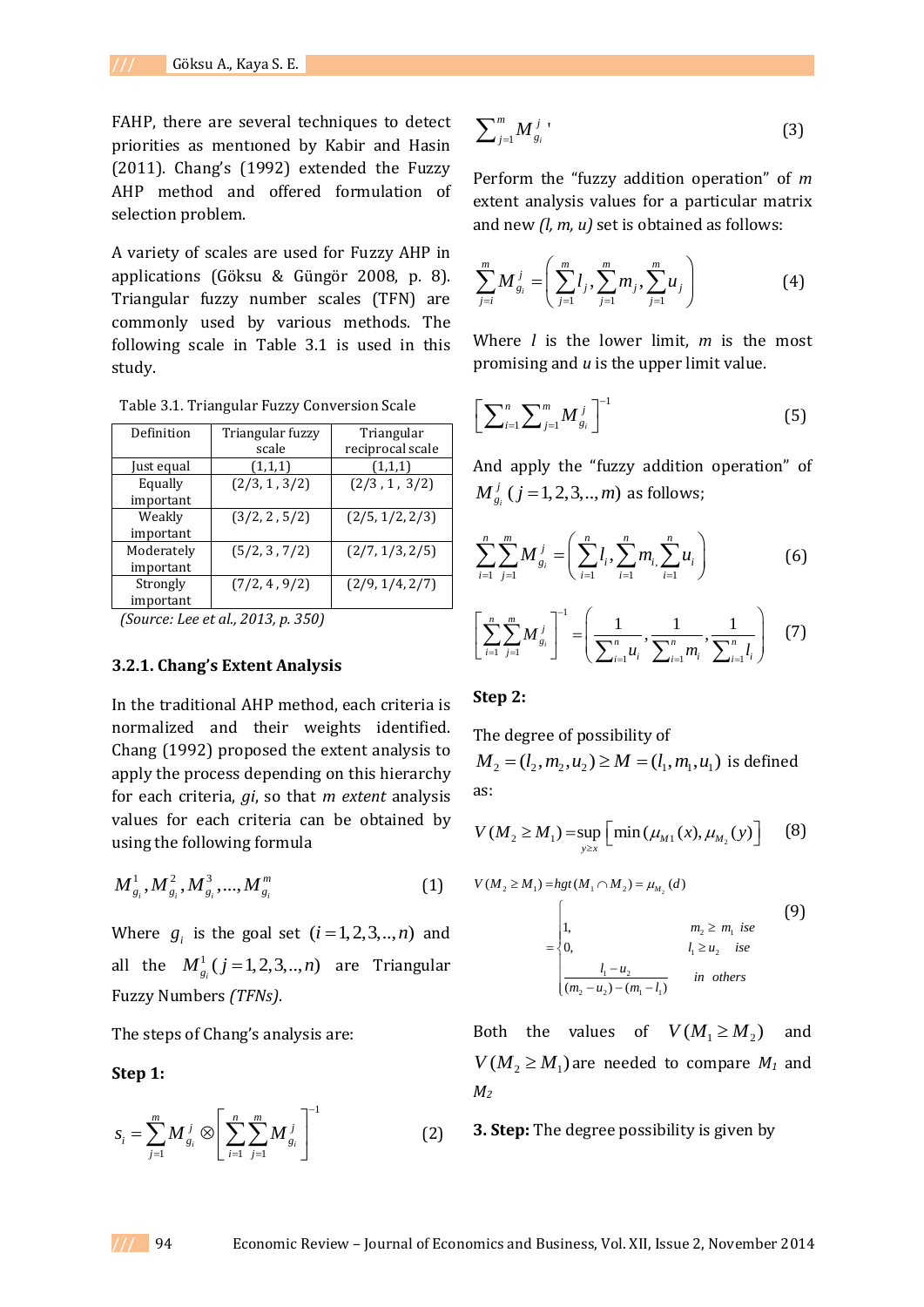FAHP, there are several techniques to detect priorities as mentıoned by Kabir and Hasin (2011). Chang's (1992) extended the Fuzzy AHP method and offered formulation of selection problem.

A variety of scales are used for Fuzzy AHP in applications (Göksu & Güngör 2008, p. 8). Triangular fuzzy number scales (TFN) are commonly used by various methods. The following scale in Table 3.1 is used in this study.

| Definition | Triangular fuzzy | Triangular       |  |  |  |
|------------|------------------|------------------|--|--|--|
|            | scale            | reciprocal scale |  |  |  |
| Just equal | (1,1,1)          | (1,1,1)          |  |  |  |
| Equally    | (2/3, 1, 3/2)    | (2/3, 1, 3/2)    |  |  |  |
| important  |                  |                  |  |  |  |
| Weakly     | (3/2, 2, 5/2)    | (2/5, 1/2, 2/3)  |  |  |  |
| important  |                  |                  |  |  |  |
| Moderately | (5/2, 3, 7/2)    | (2/7, 1/3, 2/5)  |  |  |  |
| important  |                  |                  |  |  |  |
| Strongly   | (7/2, 4, 9/2)    | (2/9, 1/4, 2/7)  |  |  |  |
| important  |                  |                  |  |  |  |

Table 3.1. Triangular Fuzzy Conversion Scale

*(Source: Lee et al., 2013, p. 350)*

#### **3.2.1. Chang's Extent Analysis**

In the traditional AHP method, each criteria is normalized and their weights identified. Chang (1992) proposed the extent analysis to apply the process depending on this hierarchy for each criteria, *gi*, so that *m extent* analysis values for each criteria can be obtained by using the following formula

$$
M_{g_i}^1, M_{g_i}^2, M_{g_i}^3, ..., M_{g_i}^m
$$
 (1)

Where  $g_i$  is the goal set  $(i=1,2,3,..,n)$  and all the  $M_{g_i}^1(j=1,2,3,..,n)$  are Triangular Fuzzy Numbers *(TFNs)*.

The steps of Chang's analysis are:

#### **Step 1:**

$$
s_i = \sum_{j=1}^{m} M_{g_i}^j \otimes \left[ \sum_{i=1}^{n} \sum_{j=1}^{m} M_{g_i}^j \right]^{-1}
$$
 (2)

$$
\sum_{j=1}^{m} M_{g_i}^{j} \tag{3}
$$

Perform the "fuzzy addition operation" of *m*  extent analysis values for a particular matrix and new *(l, m, u)* set is obtained as follows:

$$
\sum_{j=i}^{m} M_{g_i}^{j} = \left( \sum_{j=1}^{m} l_j, \sum_{j=1}^{m} m_j, \sum_{j=1}^{m} u_j \right)
$$
(4)

Where *l* is the lower limit, *m* is the most promising and *u* is the upper limit value.

$$
\left[\sum_{i=1}^{n} \sum_{j=1}^{m} M_{g_i}^{j}\right]^{-1} \tag{5}
$$

And apply the "fuzzy addition operation" of  $M^{\,j}_{_{\cal{S}_i}}$   $(j$  = 1, 2, 3, ...,  $m)$  as follows;

$$
\sum_{i=1}^{n} \sum_{j=1}^{m} M_{g_i}^{j} = \left( \sum_{i=1}^{n} l_i, \sum_{i=1}^{n} m_i \sum_{i=1}^{n} u_i \right)
$$
 (6)

$$
\left[\sum_{i=1}^{n} \sum_{j=1}^{m} M_{g_i}^{j}\right]^{-1} = \left(\frac{1}{\sum_{i=1}^{n} u_i}, \frac{1}{\sum_{i=1}^{n} m_i}, \frac{1}{\sum_{i=1}^{n} l_i}\right) \quad (7)
$$

#### **Step 2:**

The degree of possibility of The degree of possibility of<br> $M_2 = (l_2, m_2, u_2) \ge M = (l_1, m_1, u_1)$  is defined as:

$$
V(M_2 \ge M_1) = \sup_{y \ge x} \left[ \min(\mu_{M_1}(x), \mu_{M_2}(y)) \right]
$$
 (8)

$$
V(M_2 \ge M_1) = hgt(M_1 \cap M_2) = \mu_{M_2}(d)
$$
  
= 
$$
\begin{cases} 1, & m_2 \ge m_1 \text{ is } \\ 0, & l_1 \ge u_2 \text{ is } \\ \frac{l_1 - u_2}{(m_2 - u_2) - (m_1 - l_1)} & \text{in others} \end{cases}
$$
 (9)

Both the values of  $V(M_1 \geq M_2)$  and  $V(M_2 \geq M_1)$  are needed to compare  $M_1$  and *M<sup>2</sup>*

**3. Step:** The degree possibility is given by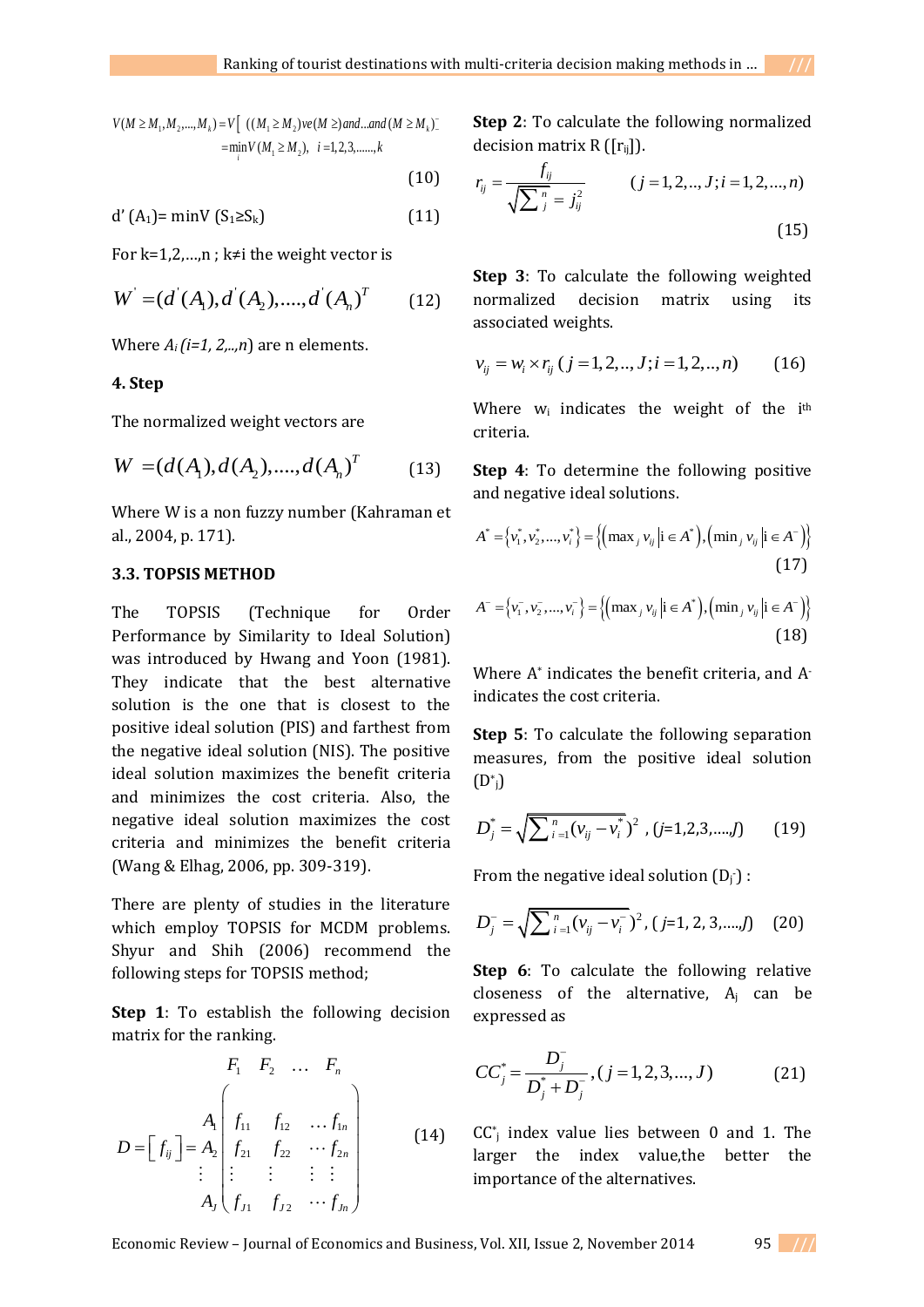$V(M \ge M_1, M_2, ..., M_k) = V \left[ ((M_1 \ge M_2)ve(M \ge) and ... and (M \ge M_k) \right]$  $= V [ ((M_1 \ge M_2) \vee e(M \ge) and ... and$ <br>= min  $V(M_1 \ge M_2), i = 1, 2, 3, ... , k$ *i* - $\geq M_1, M_2, ..., M_k$ ) = V[ ((M<sub>1</sub> ≥ M<sub>2</sub>) ve(M ≥) and ...and (M ≥ M<sub>k</sub>)<sup>-</sup>

(10)

$$
d'(A_1) = \min V(S_1 \ge S_k)
$$
 (11)

For k=1,2,...,n ; k≠i the weight vector is

$$
W = (d^{'}(A_1), d^{'}(A_2), \dots, d^{'}(A_n)^T
$$
 (12)

Where  $A_i$  (*i*=1, 2,..,*n*) are n elements.

### **4. Step**

The normalized weight vectors are

$$
W = (d(A_1), d(A_2), \dots, d(A_n)^T \qquad (13)
$$

Where W is a non fuzzy number (Kahraman et al., 2004, p. 171).

## **3.3. TOPSIS METHOD**

The TOPSIS (Technique for Order Performance by Similarity to Ideal Solution) was introduced by Hwang and Yoon (1981). They indicate that the best alternative solution is the one that is closest to the positive ideal solution (PIS) and farthest from the negative ideal solution (NIS). The positive ideal solution maximizes the benefit criteria and minimizes the cost criteria. Also, the negative ideal solution maximizes the cost criteria and minimizes the benefit criteria (Wang & Elhag, 2006, pp. 309-319).

There are plenty of studies in the literature which employ TOPSIS for MCDM problems. Shyur and Shih (2006) recommend the following steps for TOPSIS method;

**Step 1**: To establish the following decision

matrix for the ranking.  
\n
$$
F_1 \quad F_2 \quad \dots \quad F_n
$$
\n
$$
D = \begin{bmatrix} f_{ij} \end{bmatrix} = A_2 \begin{bmatrix} f_{11} & f_{12} & \dots & f_{1n} \\ f_{21} & f_{22} & \dots & f_{2n} \\ \vdots & \vdots & \vdots & \vdots \\ f_{j1} & f_{j2} & \dots & f_{jn} \end{bmatrix}
$$
\n(14)

**Step 2**: To calculate the following normalized

decision matrix R ([r<sub>ij</sub>]).  
\n
$$
r_{ij} = \frac{f_{ij}}{\sqrt{\sum_{j}^{n} = j_{ij}^{2}}}
$$
  $(j = 1, 2, ..., J; i = 1, 2, ..., n)$  (15)

**Step 3**: To calculate the following weighted normalized decision matrix using its associated weights.

$$
v_{ij} = w_i \times r_{ij} \ (j = 1, 2, ..., J; i = 1, 2, ..., n)
$$
 (16)

Where  $w_i$  indicates the weight of the i<sup>th</sup> criteria.

**Step 4**: To determine the following positive and negative ideal solutions.

and negative ideal solutions.  
\n
$$
A^* = \{v_1^*, v_2^*, ..., v_i^*\} = \{(\max_j v_{ij} | i \in A^*), (\min_j v_{ij} | i \in A^-)\}
$$
\n(17)

$$
A^{-} = \{v_{1}^{-}, v_{2}^{-}, ..., v_{i}^{-}\} = \{(\max_{j} v_{ij} | i \in A^{*}), (\min_{j} v_{ij} | i \in A^{-})\}
$$
\n(18)

Where A\* indicates the benefit criteria, and Aindicates the cost criteria.

**Step 5**: To calculate the following separation measures, from the positive ideal solution  $(D^*)$ 

$$
D_j^* = \sqrt{\sum_{i=1}^n (v_{ij} - v_i^*)^2}, (j=1,2,3,...,J)
$$
 (19)

From the negative ideal solution  $(D_j)$ :

$$
D_j^- = \sqrt{\sum_{i=1}^n (\nu_{ij} - \nu_i^-)^2}, (j=1, 2, 3, \ldots, J)
$$
 (20)

**Step 6**: To calculate the following relative closeness of the alternative,  $A_i$  can be expressed as

$$
CC_j^* = \frac{D_j^-}{D_j^* + D_j^-}, (j = 1, 2, 3, ..., J)
$$
 (21)

 $CC<sub>j</sub>$  index value lies between 0 and 1. The larger the index value,the better the importance of the alternatives.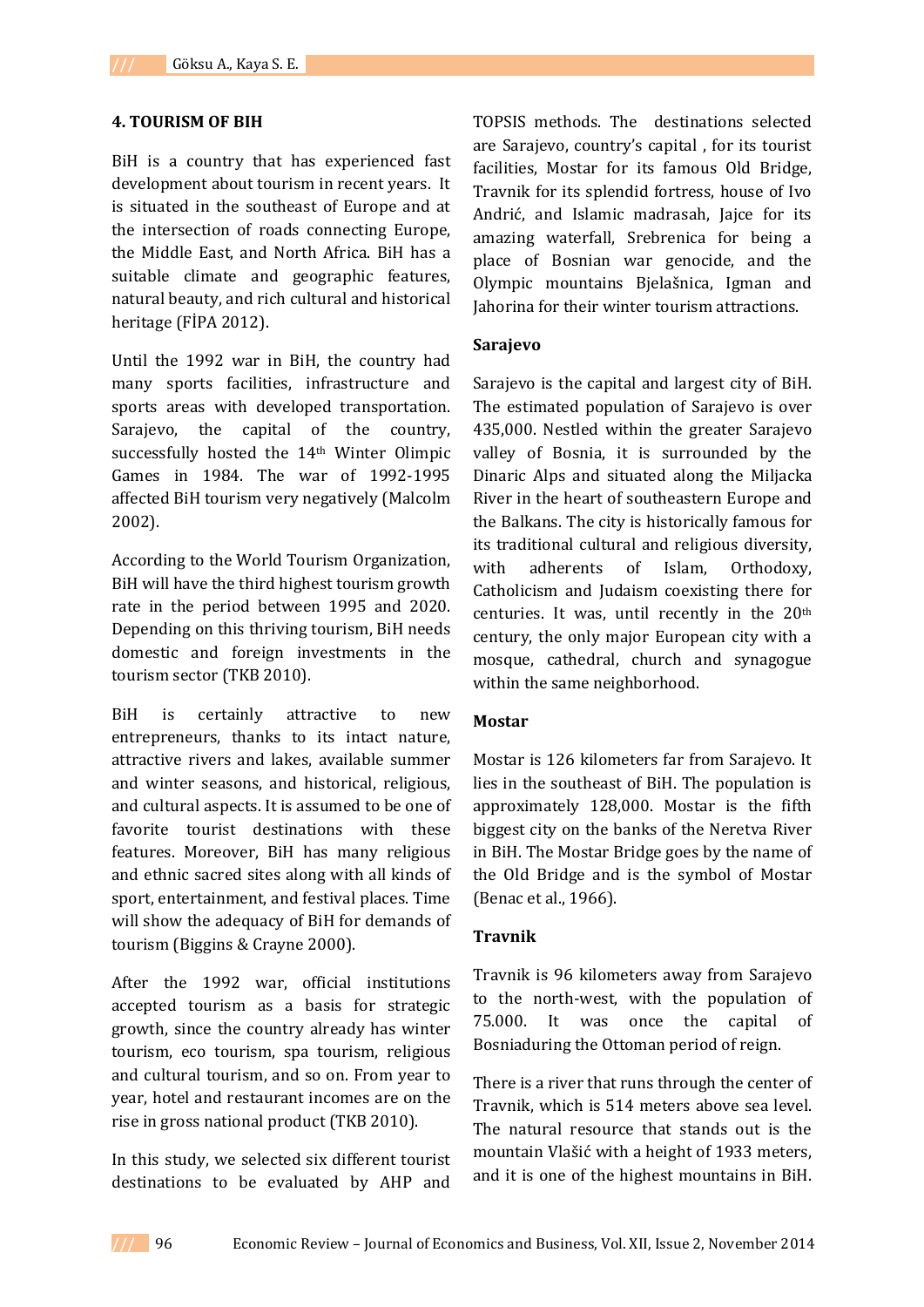### **4. TOURISM OF BIH**

BiH is a country that has experienced fast development about tourism in recent years. It is situated in the southeast of Europe and at the intersection of roads connecting Europe, the Middle East, and North Africa. BiH has a suitable climate and geographic features, natural beauty, and rich cultural and historical heritage (FİPA 2012).

Until the 1992 war in BiH, the country had many sports facilities, infrastructure and sports areas with developed transportation. Sarajevo, the capital of the country, successfully hosted the 14th Winter Olimpic Games in 1984. The war of 1992-1995 affected BiH tourism very negatively (Malcolm 2002).

According to the World Tourism Organization, BiH will have the third highest tourism growth rate in the period between 1995 and 2020. Depending on this thriving tourism, BiH needs domestic and foreign investments in the tourism sector (TKB 2010).

BiH is certainly attractive to new entrepreneurs, thanks to its intact nature, attractive rivers and lakes, available summer and winter seasons, and historical, religious, and cultural aspects. It is assumed to be one of favorite tourist destinations with these features. Moreover, BiH has many religious and ethnic sacred sites along with all kinds of sport, entertainment, and festival places. Time will show the adequacy of BiH for demands of tourism (Biggins & Crayne 2000).

After the 1992 war, official institutions accepted tourism as a basis for strategic growth, since the country already has winter tourism, eco tourism, spa tourism, religious and cultural tourism, and so on. From year to year, hotel and restaurant incomes are on the rise in gross national product (TKB 2010).

In this study, we selected six different tourist destinations to be evaluated by AHP and

TOPSIS methods. The destinations selected are Sarajevo, country's capital , for its tourist facilities, Mostar for its famous Old Bridge, Travnik for its splendid fortress, house of Ivo Andrić, and Islamic madrasah, Jajce for its amazing waterfall, Srebrenica for being a place of Bosnian war genocide, and the Olympic mountains Bjelašnica, Igman and Jahorina for their winter tourism attractions.

### **Sarajevo**

Sarajevo is the capital and largest city of [BiH.](http://en.wikipedia.org/wiki/Bosnia_and_Herzegovina) The estimated population of Sarajevo is over 435,000. Nestled within the greater Sarajevo valley of [Bosnia,](http://en.wikipedia.org/wiki/Bosnia_%28region%29) it is surrounded by the [Dinaric Alps](http://en.wikipedia.org/wiki/Dinaric_Alps) and situated along the [Miljacka](http://en.wikipedia.org/wiki/Miljacka)  [River](http://en.wikipedia.org/wiki/Miljacka) in the heart of [southeastern Europe](http://en.wikipedia.org/wiki/Southeastern_Europe) and the [Balkans.](http://en.wikipedia.org/wiki/Balkans) The city is historically famous for its traditional cultural and religious diversity, with adherents of [Islam,](http://en.wikipedia.org/wiki/Islam) [Orthodoxy,](http://en.wikipedia.org/wiki/Eastern_Orthodox_Church) [Catholicism](http://en.wikipedia.org/wiki/Catholic_Church) and [Judaism](http://en.wikipedia.org/wiki/Judaism) coexisting there for centuries. It was, until recently in the 20th century, the only major European city with a mosque, cathedral, church and synagogue within the same neighborhood.

### **Mostar**

Mostar is 126 kilometers far from Sarajevo. It lies in the southeast of BiH. The population is approximately 128,000. Mostar is the fifth biggest city on the banks of the Neretva River in BiH. The Mostar Bridge goes by the name of the Old Bridge and is the symbol of Mostar (Benac et al., 1966).

### **Travnik**

Travnik is 96 kilometers away from Sarajevo to the north-west, with the population of 75.000. It was once the capital of Bosniaduring the Ottoman period of reign.

There is a river that runs through the center of Travnik, which is 514 meters above sea level. The natural resource that stands out is the mountain Vlašić with a height of 1933 meters, and it is one of the highest mountains in BiH.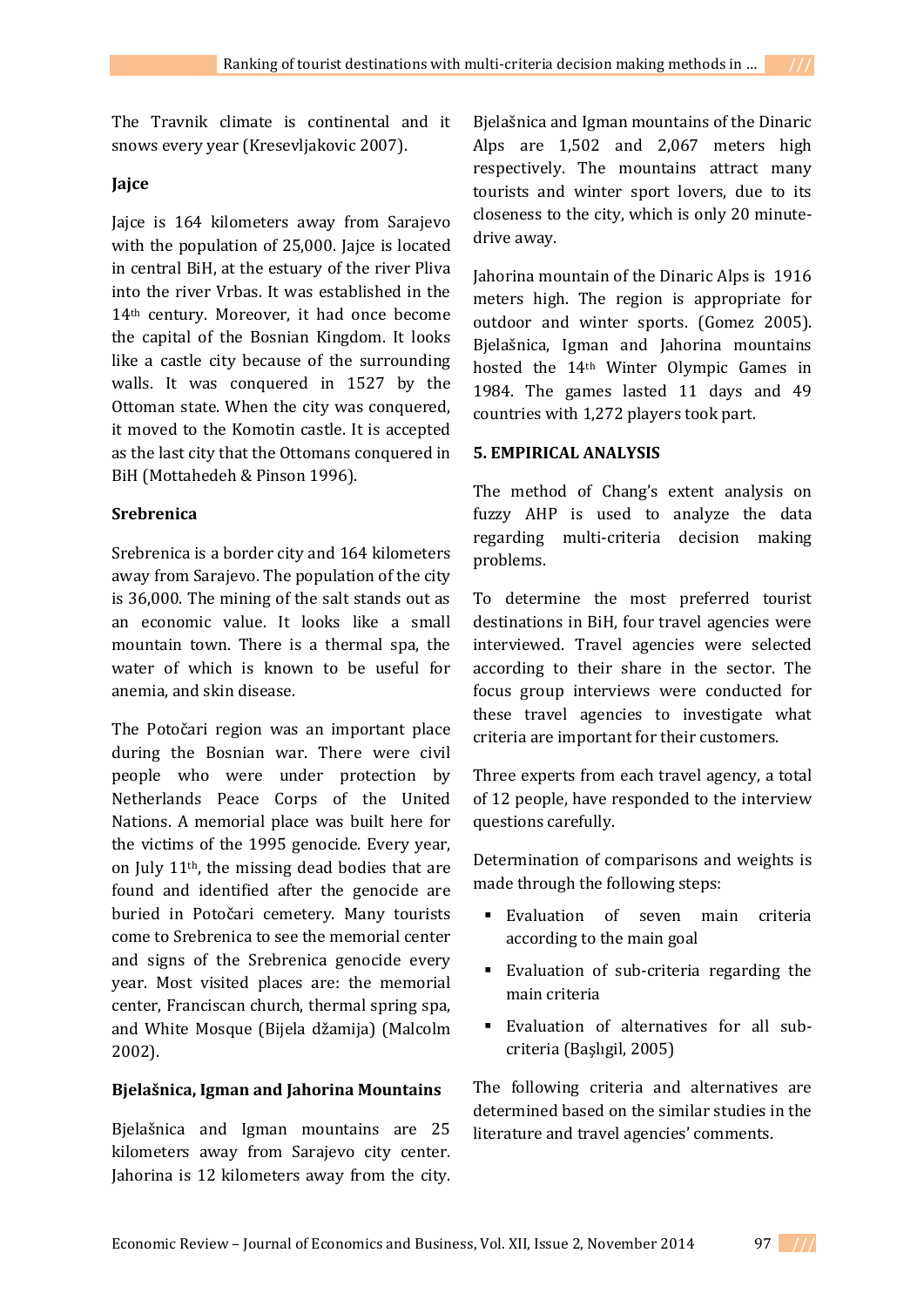The Travnik climate is continental and it snows every year (Kresevljakovic 2007).

## **Jajce**

Jajce is 164 kilometers away from Sarajevo with the population of 25,000. Jajce is located in central BiH, at the estuary of the river Pliva into the river Vrbas. It was established in the 14th century. Moreover, it had once become the capital of the Bosnian Kingdom. It looks like a castle city because of the surrounding walls. It was conquered in 1527 by the Ottoman state. When the city was conquered, it moved to the Komotin castle. It is accepted as the last city that the Ottomans conquered in BiH (Mottahedeh & Pinson 1996).

# **Srebrenica**

Srebrenica is a border city and 164 kilometers away from Sarajevo. The population of the city is 36,000. The mining of the salt stands out as an economic value. It looks like a small mountain town. There is a thermal spa, the water of which is known to be useful for anemia, and skin disease.

The Potočari region was an important place during the Bosnian war. There were civil people who were under protection by Netherlands Peace Corps of the United Nations. A memorial place was built here for the victims of the 1995 genocide. Every year, on July 11th, the missing dead bodies that are found and identified after the genocide are buried in Potočari cemetery. Many tourists come to Srebrenica to see the memorial center and signs of the Srebrenica genocide every year. Most visited places are: the memorial center, Franciscan church, thermal spring spa, and White Mosque (Bijela džamija) (Malcolm 2002).

## **Bjelašnica, Igman and Jahorina Mountains**

Bjelašnica and Igman mountains are 25 kilometers away from Sarajevo city center. Jahorina is 12 kilometers away from the city.

Bjelašnica and Igman mountains of the Dinaric Alps are 1,502 and 2,067 meters high respectively. The mountains attract many tourists and winter sport lovers, due to its closeness to the city, which is only 20 minutedrive away.

Jahorina mountain of the Dinaric Alps is 1916 meters high. The region is appropriate for outdoor and winter sports. (Gomez 2005). Bjelašnica, Igman and Jahorina mountains hosted the 14th Winter Olympic Games in 1984. The games lasted 11 days and 49 countries with 1,272 players took part.

# **5. EMPIRICAL ANALYSIS**

The method of Chang's extent analysis on fuzzy AHP is used to analyze the data regarding multi-criteria decision making problems.

To determine the most preferred tourist destinations in BiH, four travel agencies were interviewed. Travel agencies were selected according to their share in the sector. The focus group interviews were conducted for these travel agencies to investigate what criteria are important for their customers.

Three experts from each travel agency, a total of 12 people, have responded to the interview questions carefully.

Determination of comparisons and weights is made through the following steps:

- Evaluation of seven main criteria according to the main goal
- Evaluation of sub-criteria regarding the main criteria
- Evaluation of alternatives for all subcriteria (Başlıgil, 2005)

The following criteria and alternatives are determined based on the similar studies in the literature and travel agencies' comments.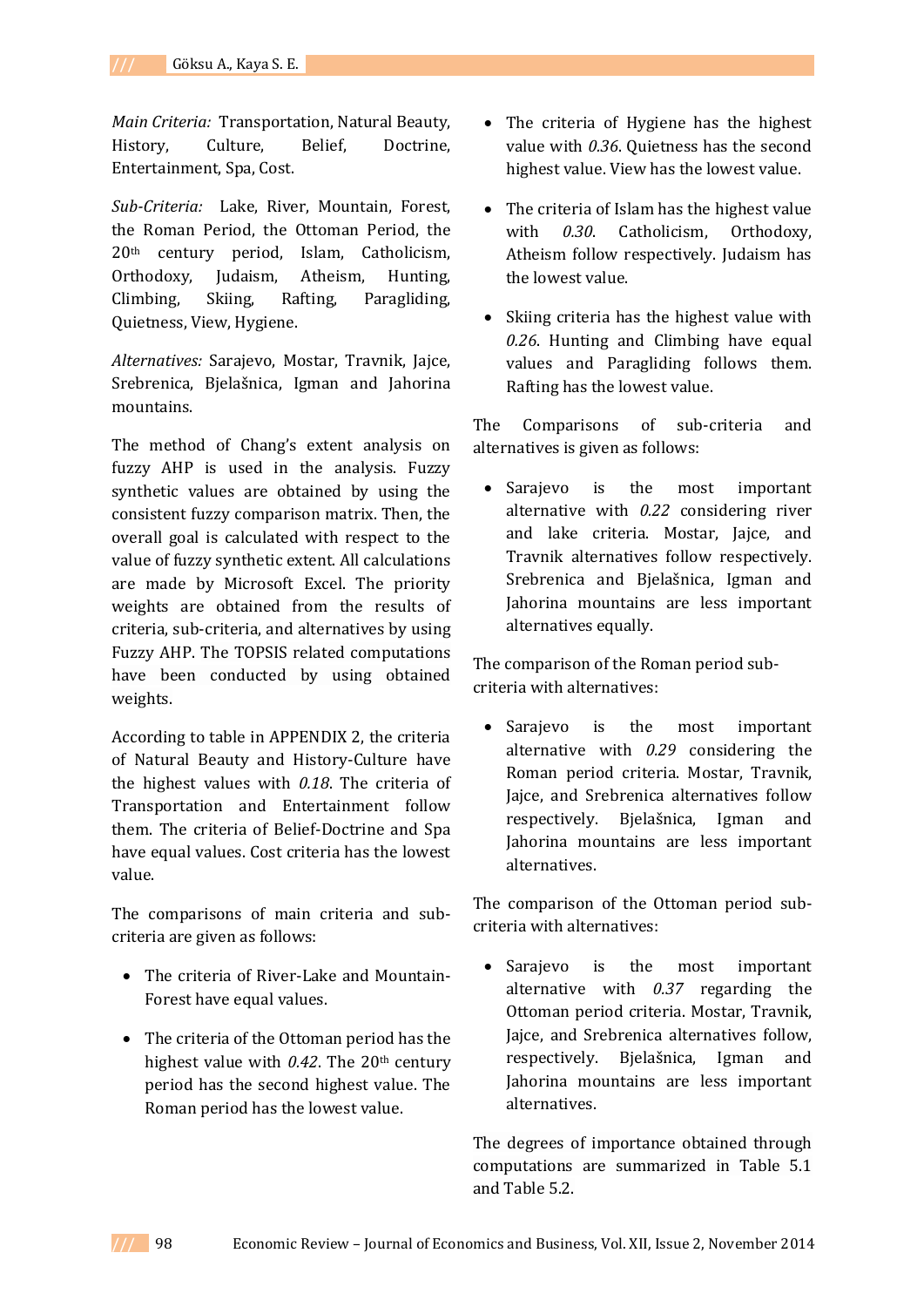*Main Criteria:* Transportation, Natural Beauty, History, Culture, Belief, Doctrine, Entertainment, Spa, Cost.

*Sub-Criteria:* Lake, River, Mountain, Forest, the Roman Period, the Ottoman Period, the 20th century period, Islam, Catholicism, Orthodoxy, Judaism, Atheism, Hunting, Climbing, Skiing, Rafting, Paragliding, Quietness, View, Hygiene.

*Alternatives:* Sarajevo, Mostar, Travnik, Jajce, Srebrenica, Bjelašnica, Igman and Jahorina mountains.

The method of Chang's extent analysis on fuzzy AHP is used in the analysis. Fuzzy synthetic values are obtained by using the consistent fuzzy comparison matrix. Then, the overall goal is calculated with respect to the value of fuzzy synthetic extent. All calculations are made by Microsoft Excel. The priority weights are obtained from the results of criteria, sub-criteria, and alternatives by using Fuzzy AHP. The TOPSIS related computations have been conducted by using obtained weights.

According to table in APPENDIX 2, the criteria of Natural Beauty and History-Culture have the highest values with *0.18*. The criteria of Transportation and Entertainment follow them. The criteria of Belief-Doctrine and Spa have equal values. Cost criteria has the lowest value.

The comparisons of main criteria and subcriteria are given as follows:

- The criteria of River-Lake and Mountain-Forest have equal values.
- The criteria of the Ottoman period has the highest value with *0.42*. The 20th century period has the second highest value. The Roman period has the lowest value.
- The criteria of Hygiene has the highest value with *0.36*. Quietness has the second highest value. View has the lowest value.
- The criteria of Islam has the highest value with *0.30*. Catholicism, Orthodoxy, Atheism follow respectively. Judaism has the lowest value.
- Skiing criteria has the highest value with *0.26*. Hunting and Climbing have equal values and Paragliding follows them. Rafting has the lowest value.

The Comparisons of sub-criteria and alternatives is given as follows:

• Sarajevo is the most important alternative with *0.22* considering river and lake criteria. Mostar, Jajce, and Travnik alternatives follow respectively. Srebrenica and Bjelašnica, Igman and Jahorina mountains are less important alternatives equally.

The comparison of the Roman period subcriteria with alternatives:

• Sarajevo is the most important alternative with *0.29* considering the Roman period criteria. Mostar, Travnik, Jajce, and Srebrenica alternatives follow respectively. Bjelašnica, Igman and Jahorina mountains are less important alternatives.

The comparison of the Ottoman period subcriteria with alternatives:

• Sarajevo is the most important alternative with *0.37* regarding the Ottoman period criteria. Mostar, Travnik, Jajce, and Srebrenica alternatives follow, respectively. Bjelašnica, Igman and Jahorina mountains are less important alternatives.

The degrees of importance obtained through computations are summarized in Table 5.1 and Table 5.2.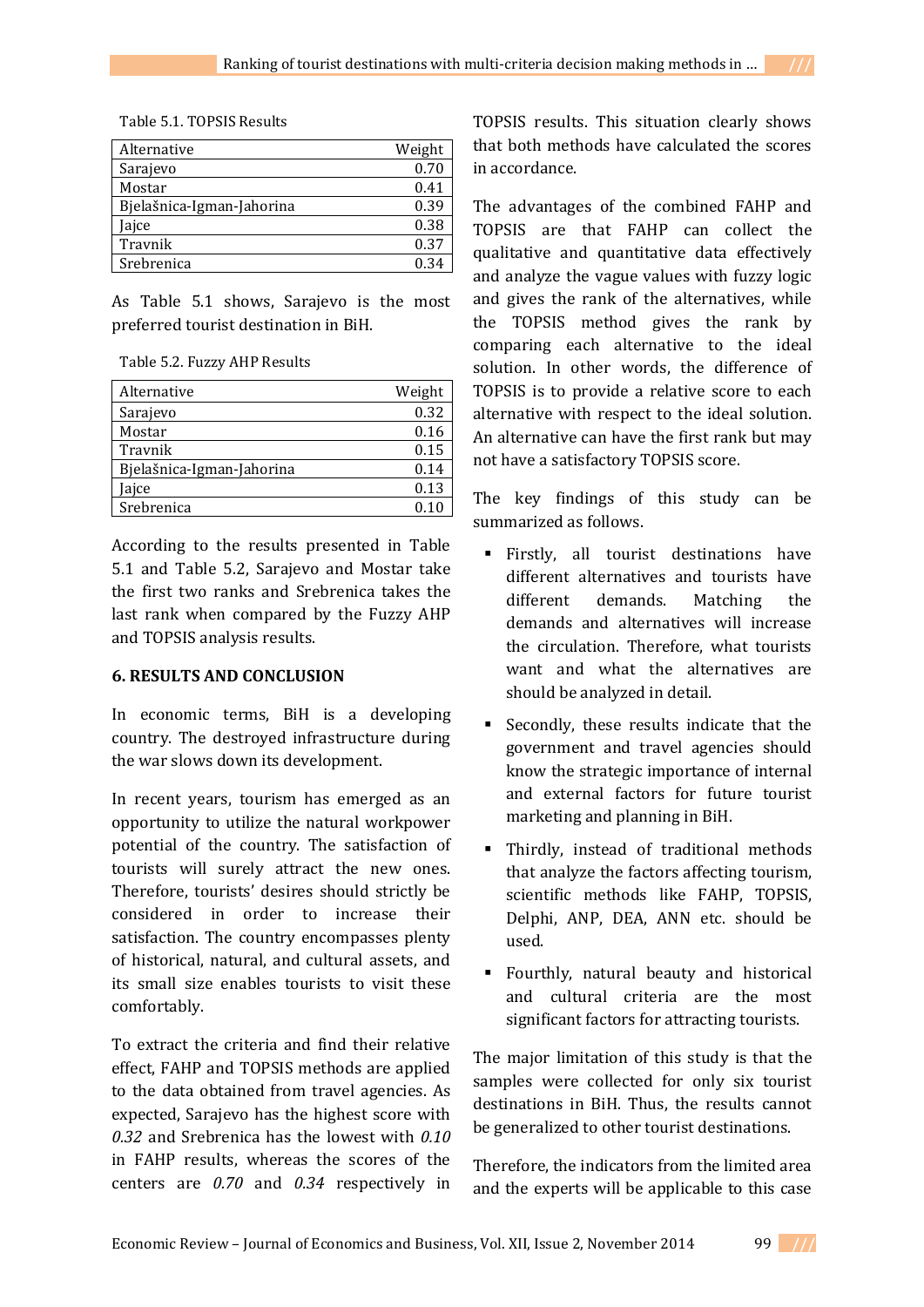|  | Table 5.1. TOPSIS Results |
|--|---------------------------|
|--|---------------------------|

| Alternative               | Weight |
|---------------------------|--------|
| Sarajevo                  | 0.70   |
| Mostar                    | 0.41   |
| Bjelašnica-Igman-Jahorina | 0.39   |
| ajce                      | 0.38   |
| Travnik                   | 0.37   |
| Srebrenica                | 0.34   |

As Table 5.1 shows, Sarajevo is the most preferred tourist destination in BiH.

| Table 5.2. Fuzzy AHP Results |  |  |
|------------------------------|--|--|
|------------------------------|--|--|

| Alternative               | Weight |
|---------------------------|--------|
| Sarajevo                  | 0.32   |
| Mostar                    | 0.16   |
| Travnik                   | 0.15   |
| Bjelašnica-Igman-Jahorina | 0.14   |
| Jajce                     | 0.13   |
| Srebrenica                | በ 1በ   |

According to the results presented in Table 5.1 and Table 5.2, Sarajevo and Mostar take the first two ranks and Srebrenica takes the last rank when compared by the Fuzzy AHP and TOPSIS analysis results.

## **6. RESULTS AND CONCLUSION**

In economic terms, BiH is a developing country. The destroyed infrastructure during the war slows down its development.

In recent years, tourism has emerged as an opportunity to utilize the natural workpower potential of the country. The satisfaction of tourists will surely attract the new ones. Therefore, tourists' desires should strictly be considered in order to increase their satisfaction. The country encompasses plenty of historical, natural, and cultural assets, and its small size enables tourists to visit these comfortably.

To extract the criteria and find their relative effect, FAHP and TOPSIS methods are applied to the data obtained from travel agencies. As expected, Sarajevo has the highest score with *0.32* and Srebrenica has the lowest with *0.10* in FAHP results, whereas the scores of the centers are *0.70* and *0.34* respectively in TOPSIS results. This situation clearly shows that both methods have calculated the scores in accordance.

The advantages of the combined FAHP and TOPSIS are that FAHP can collect the qualitative and quantitative data effectively and analyze the vague values with fuzzy logic and gives the rank of the alternatives, while the TOPSIS method gives the rank by comparing each alternative to the ideal solution. In other words, the difference of TOPSIS is to provide a relative score to each alternative with respect to the ideal solution. An alternative can have the first rank but may not have a satisfactory TOPSIS score.

The key findings of this study can be summarized as follows.

- Firstly, all tourist destinations have different alternatives and tourists have different demands. Matching the demands and alternatives will increase the circulation. Therefore, what tourists want and what the alternatives are should be analyzed in detail.
- Secondly, these results indicate that the government and travel agencies should know the strategic importance of internal and external factors for future tourist marketing and planning in BiH.
- Thirdly, instead of traditional methods that analyze the factors affecting tourism, scientific methods like FAHP, TOPSIS, Delphi, ANP, DEA, ANN etc. should be used.
- Fourthly, natural beauty and historical and cultural criteria are the most significant factors for attracting tourists.

The major limitation of this study is that the samples were collected for only six tourist destinations in BiH. Thus, the results cannot be generalized to other tourist destinations.

Therefore, the indicators from the limited area and the experts will be applicable to this case

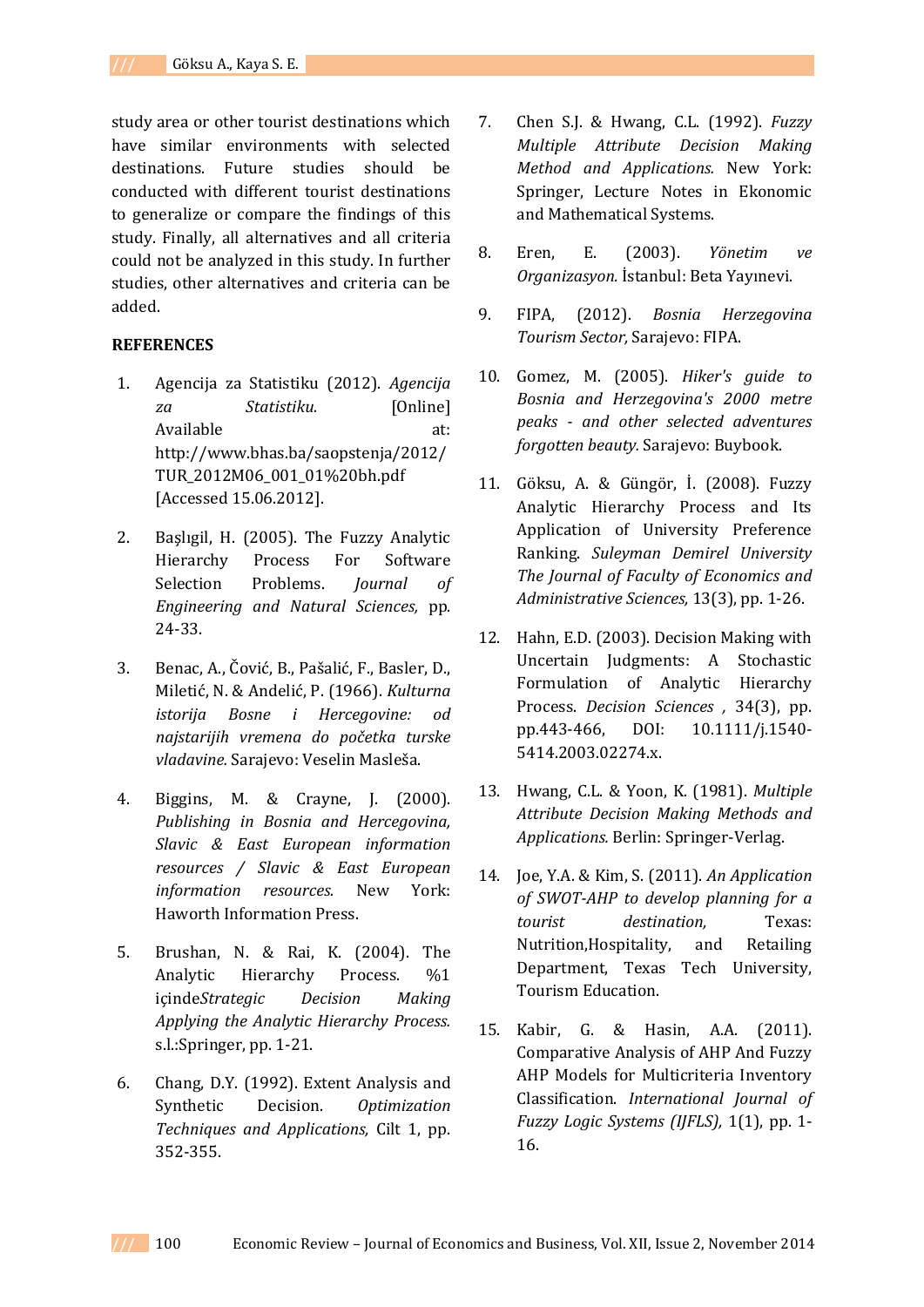study area or other tourist destinations which have similar environments with selected destinations. Future studies should be conducted with different tourist destinations to generalize or compare the findings of this study. Finally, all alternatives and all criteria could not be analyzed in this study. In further studies, other alternatives and criteria can be added.

### **REFERENCES**

- 1. Agencija za Statistiku (2012). *Agencija za Statistiku.* [Online] Available at: http://www.bhas.ba/saopstenja/2012/ TUR\_2012M06\_001\_01%20bh.pdf [Accessed 15.06.2012].
- 2. Başlıgil, H. (2005). The Fuzzy Analytic Hierarchy Process For Software Selection Problems. *Journal of Engineering and Natural Sciences,* pp. 24-33.
- 3. Benac, A., Čović, B., Pašalić, F., Basler, D., Miletić, N. & Andelić, P. (1966). *Kulturna istorija Bosne i Hercegovine: od najstarijih vremena do početka turske vladavine.* Sarajevo: Veselin Masleša.
- 4. Biggins, M. & Crayne, J. (2000). *Publishing in Bosnia and Hercegovina, Slavic & East European information resources / Slavic & East European information resources.* New York: Haworth Information Press.
- 5. Brushan, N. & Rai, K. (2004). The Analytic Hierarchy Process. %1 içinde*Strategic Decision Making Applying the Analytic Hierarchy Process.*  s.l.:Springer, pp. 1-21.
- 6. Chang, D.Y. (1992). Extent Analysis and Synthetic Decision. *Optimization Techniques and Applications,* Cilt 1, pp. 352-355.
- 7. Chen S.J. & Hwang, C.L. (1992). *Fuzzy Multiple Attribute Decision Making Method and Applications.* New York: Springer, Lecture Notes in Ekonomic and Mathematical Systems.
- 8. Eren, E. (2003). *Yönetim ve Organizasyon.* İstanbul: Beta Yayınevi.
- 9. FIPA, (2012). *Bosnia Herzegovina Tourism Sector,* Sarajevo: FIPA.
- 10. Gomez, M. (2005). *Hiker's guide to Bosnia and Herzegovina's 2000 metre peaks - and other selected adventures forgotten beauty.* Sarajevo: Buybook.
- 11. Göksu, A. & Güngör, İ. (2008). Fuzzy Analytic Hierarchy Process and Its Application of University Preference Ranking. *Suleyman Demirel University The Journal of Faculty of Economics and Administrative Sciences,* 13(3), pp. 1-26.
- 12. Hahn, E.D. (2003). Decision Making with Uncertain Judgments: A Stochastic Formulation of Analytic Hierarchy Process. *Decision Sciences ,* 34(3), pp. pp.443-466, DOI: 10.1111/j.1540- 5414.2003.02274.x.
- 13. Hwang, C.L. & Yoon, K. (1981). *Multiple Attribute Decision Making Methods and Applications.* Berlin: Springer-Verlag.
- 14. Joe, Y.A. & Kim, S. (2011). *An Application of SWOT-AHP to develop planning for a tourist destination,* Texas: Nutrition,Hospitality, and Retailing Department, Texas Tech University, Tourism Education.
- 15. Kabir, G. & Hasin, A.A. (2011). Comparative Analysis of AHP And Fuzzy AHP Models for Multicriteria Inventory Classification. *International Journal of Fuzzy Logic Systems (IJFLS),* 1(1), pp. 1- 16.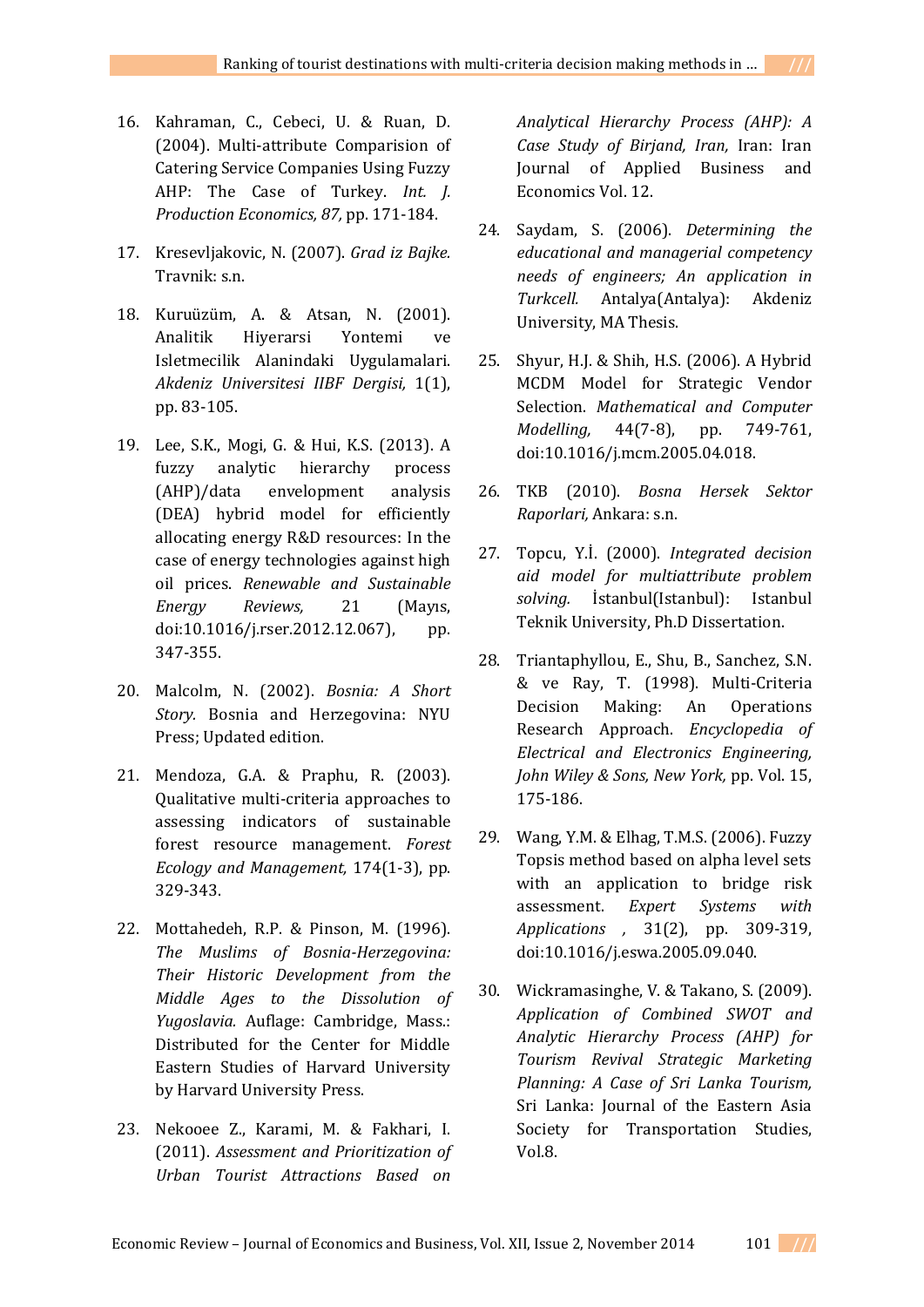- 16. Kahraman, C., Cebeci, U. & Ruan, D. (2004). Multi-attribute Comparision of Catering Service Companies Using Fuzzy AHP: The Case of Turkey. *Int. J. Production Economics, 87,* pp. 171-184.
- 17. Kresevljakovic, N. (2007). *Grad iz Bajke.*  Travnik: s.n.
- 18. Kuruüzüm, A. & Atsan, N. (2001). Analitik Hiyerarsi Yontemi ve Isletmecilik Alanindaki Uygulamalari. *Akdeniz Universitesi IIBF Dergisi,* 1(1), pp. 83-105.
- 19. Lee, S.K., Mogi, G. & Hui, K.S. (2013). A fuzzy analytic hierarchy process (AHP)/data envelopment analysis (DEA) hybrid model for efficiently allocating energy R&D resources: In the case of energy technologies against high oil prices. *Renewable and Sustainable Energy Reviews,* 21 (Mayıs, doi:10.1016/j.rser.2012.12.067), pp. 347-355.
- 20. Malcolm, N. (2002). *Bosnia: A Short Story.* Bosnia and Herzegovina: NYU Press; Updated edition.
- 21. Mendoza, G.A. & Praphu, R. (2003). Qualitative multi-criteria approaches to assessing indicators of sustainable forest resource management. *Forest Ecology and Management,* 174(1-3), pp. 329-343.
- 22. Mottahedeh, R.P. & Pinson, M. (1996). *The Muslims of Bosnia-Herzegovina: Their Historic Development from the Middle Ages to the Dissolution of Yugoslavia.* Auflage: Cambridge, Mass.: Distributed for the Center for Middle Eastern Studies of Harvard University by Harvard University Press.
- 23. Nekooee Z., Karami, M. & Fakhari, I. (2011). *Assessment and Prioritization of Urban Tourist Attractions Based on*

*Analytical Hierarchy Process (AHP): A Case Study of Birjand, Iran,* Iran: Iran Journal of Applied Business and Economics Vol. 12.

- 24. Saydam, S. (2006). *Determining the educational and managerial competency needs of engineers; An application in Turkcell.* Antalya(Antalya): Akdeniz University, MA Thesis.
- 25. Shyur, H.J. & Shih, H.S. (2006). A Hybrid MCDM Model for Strategic Vendor Selection. *Mathematical and Computer Modelling,* 44(7-8), pp. 749-761, doi:10.1016/j.mcm.2005.04.018.
- 26. TKB (2010). *Bosna Hersek Sektor Raporlari,* Ankara: s.n.
- 27. Topcu, Y.İ. (2000). *Integrated decision aid model for multiattribute problem solving.* İstanbul(Istanbul): Istanbul Teknik University, Ph.D Dissertation.
- 28. Triantaphyllou, E., Shu, B., Sanchez, S.N. & ve Ray, T. (1998). Multi-Criteria Decision Making: An Operations Research Approach. *Encyclopedia of Electrical and Electronics Engineering, John Wiley & Sons, New York,* pp. Vol. 15, 175-186.
- 29. Wang, Y.M. & Elhag, T.M.S. (2006). Fuzzy Topsis method based on alpha level sets with an application to bridge risk assessment. *Expert Systems with Applications ,* 31(2), pp. 309-319, doi:10.1016/j.eswa.2005.09.040.
- 30. Wickramasinghe, V. & Takano, S. (2009). *Application of Combined SWOT and Analytic Hierarchy Process (AHP) for Tourism Revival Strategic Marketing Planning: A Case of Sri Lanka Tourism,*  Sri Lanka: Journal of the Eastern Asia Society for Transportation Studies, Vol.8.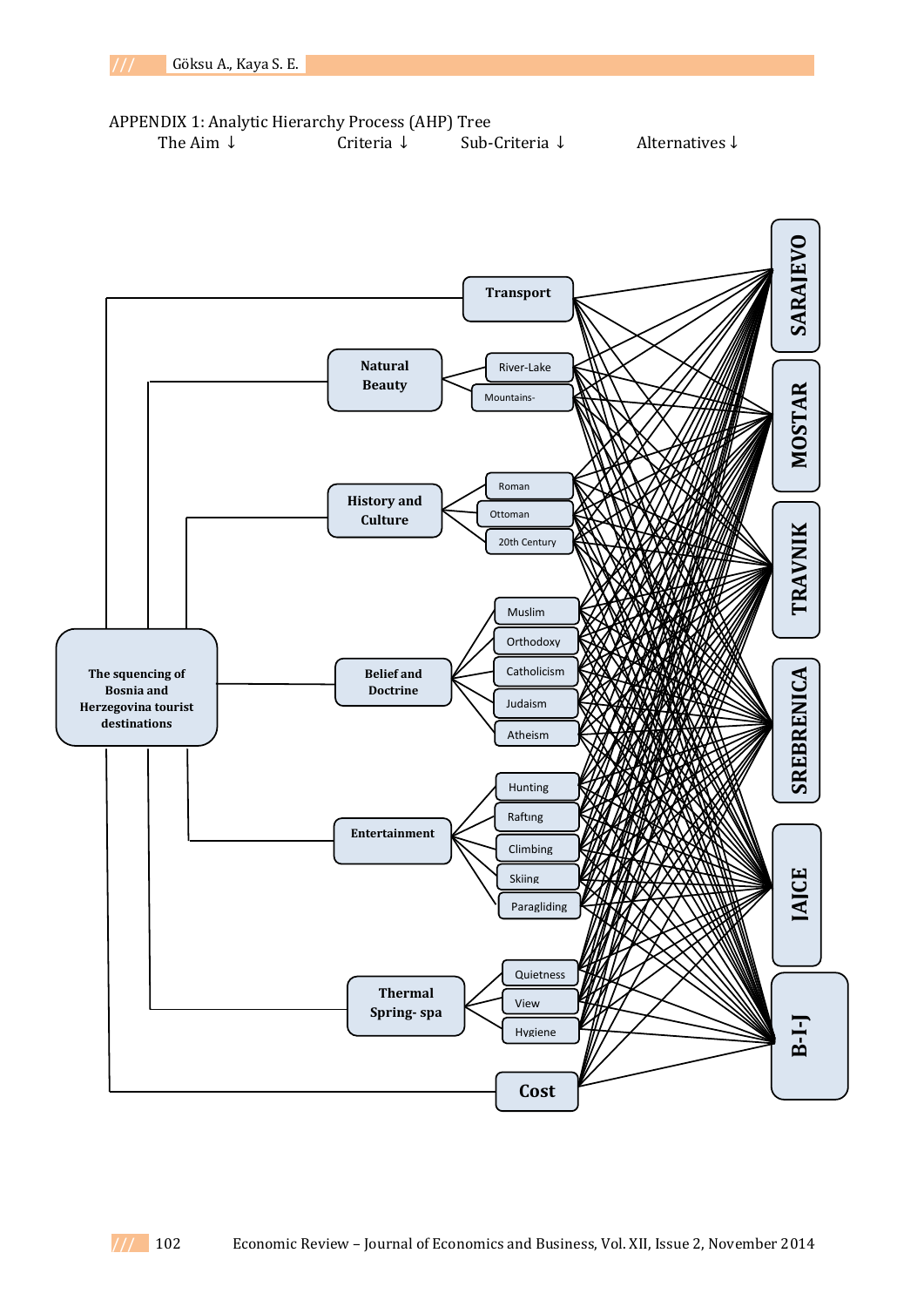